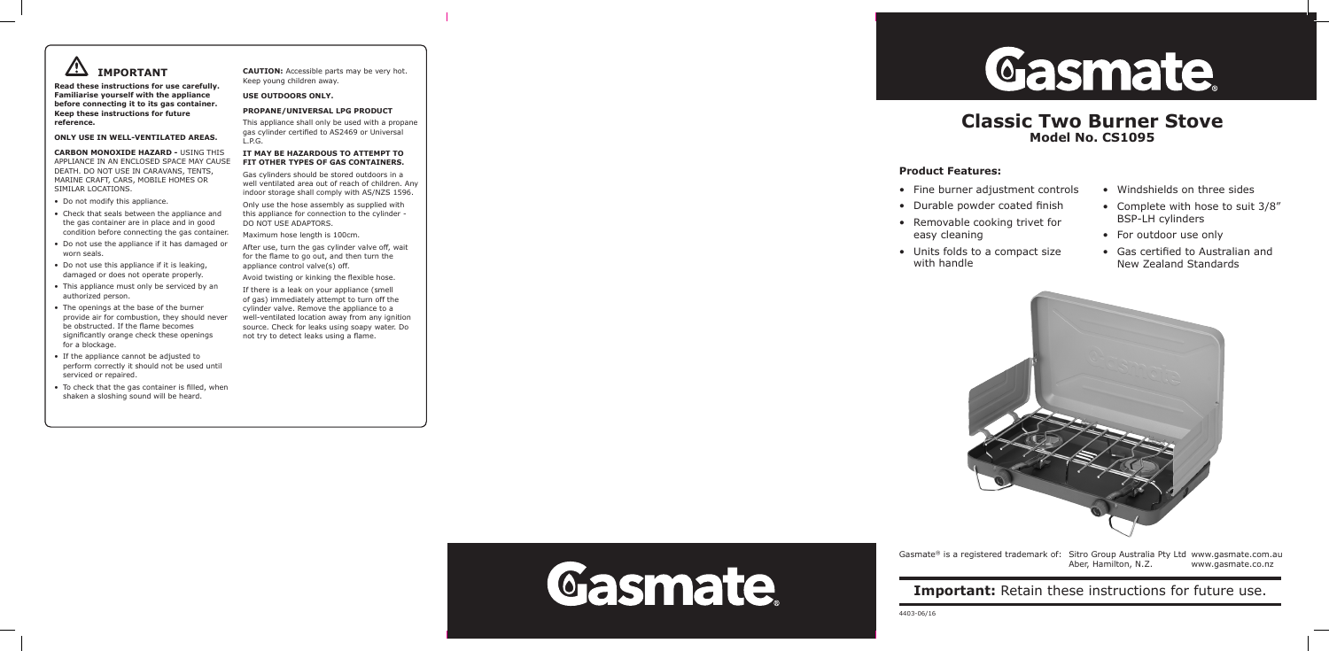

**Read these instructions for use carefully. Familiarise yourself with the appliance before connecting it to its gas container. Keep these instructions for future reference.**

#### **ONLY USE IN WELL-VENTILATED AREAS.**

**CARBON MONOXIDE HAZARD -** USING THIS APPLIANCE IN AN ENCLOSED SPACE MAY CAUSE DEATH. DO NOT USE IN CARAVANS, TENTS, MARINE CRAFT, CARS, MOBILE HOMES OR SIMILAR LOCATIONS.

- Do not modify this appliance.
- Check that seals between the appliance and the gas container are in place and in good condition before connecting the gas container.
- Do not use the appliance if it has damaged or worn seals.
- Do not use this appliance if it is leaking, damaged or does not operate properly.
- This appliance must only be serviced by an authorized person.
- The openings at the base of the burner provide air for combustion, they should never be obstructed. If the flame becomes significantly orange check these openings for a blockage.
- If the appliance cannot be adjusted to perform correctly it should not be used until serviced or repaired.
- To check that the gas container is filled, when shaken a sloshing sound will be heard.

**CAUTION:** Accessible parts may be very hot. Keep young children away.

#### **USE OUTDOORS ONLY.**

#### **PROPANE/UNIVERSAL LPG PRODUCT**

This appliance shall only be used with a propane gas cylinder certified to AS2469 or Universal L.P.G.

- Fine burner adjustment controls
- Windshields on three sides
- • Complete with hose to suit 3/8" BSP-LH cylinders
- For outdoor use only
- Gas certified to Australian and New Zealand Standards



#### **IT MAY BE HAZARDOUS TO ATTEMPT TO FIT OTHER TYPES OF GAS CONTAINERS.**

Gas cylinders should be stored outdoors in a well ventilated area out of reach of children. Any indoor storage shall comply with AS/NZS 1596.

Only use the hose assembly as supplied with this appliance for connection to the cylinder - DO NOT USE ADAPTORS.

Maximum hose length is 100cm.

After use, turn the gas cylinder valve off, wait for the flame to go out, and then turn the appliance control valve(s) off.

Avoid twisting or kinking the flexible hose.

If there is a leak on your appliance (smell of gas) immediately attempt to turn off the cylinder valve. Remove the appliance to a well-ventilated location away from any ignition source. Check for leaks using soapy water. Do not try to detect leaks using a flame.

4403-06/16 **Important:** Retain these instructions for future use.



Gasmate® is a registered trademark of: Sitro Group Australia Pty Ltd www.gasmate.com.au Aber, Hamilton, N.Z. www.gasmate.co.nz

# **Classic Two Burner Stove Model No. CS1095**

# **Product Features:**

- 
- • Durable powder coated finish
- Removable cooking trivet for easy cleaning
- Units folds to a compact size with handle



Gasmate